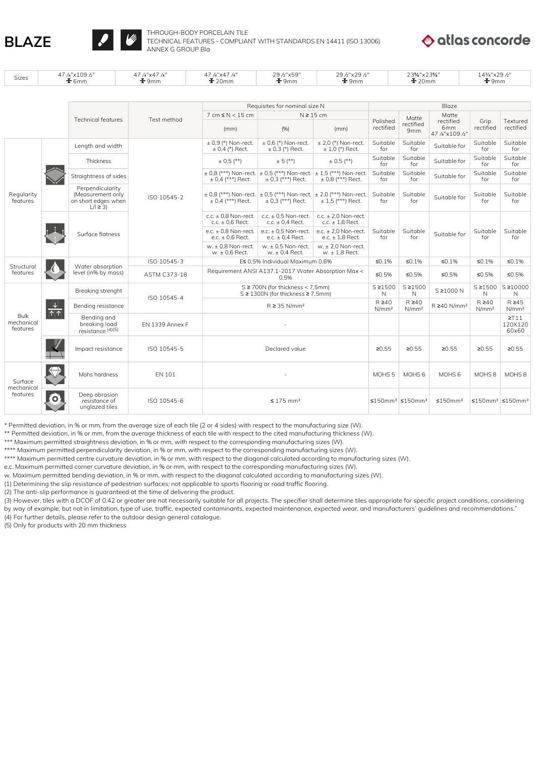

Sizes  $\frac{47}{10}$   $\frac{4^{10} \times 109}{10}$   $\frac{100}{10}$ 



47¼"x47¼"

THROUGH-BODY PORCELAIN TILE TECHNICAL FEATURES - COMPLIANT WITH STANDARDS EN 14411 (ISO 13006) ANNEX G GROUP Bla

29½"x59"

29½"x29½"

47¼"x47¼"  $\pm 20$ mm



14¾"x29½"  $\frac{1}{2}$ 9mm

23⅝"x23⅝"

| Sizes                                 | T/ /4 ^1 UJ /2<br>$\frac{1}{2}$ 6mm          |                                                                              | T/ /4 AT/ /4<br>$\frac{1}{2}$ 9mm | T/ /4 AT/ /4<br>2012 AJJ<br>$\frac{1}{2}$ 20mm<br>$\frac{1}{2}$ 9mm   |                                                                                                        | $2012 \times 2012$<br>$\frac{1}{2}$ 9mm          |                                  |                                                     | $2.076$ $ALU/6$<br>$\frac{1}{2}$ 20mm |                                  | $1 + 74$ $\Lambda$ $\sim$ $\sim$ $\prime$ $\sim$<br>$\frac{1}{2}$ 9mm |  |
|---------------------------------------|----------------------------------------------|------------------------------------------------------------------------------|-----------------------------------|-----------------------------------------------------------------------|--------------------------------------------------------------------------------------------------------|--------------------------------------------------|----------------------------------|-----------------------------------------------------|---------------------------------------|----------------------------------|-----------------------------------------------------------------------|--|
|                                       |                                              |                                                                              |                                   |                                                                       |                                                                                                        |                                                  |                                  |                                                     |                                       |                                  |                                                                       |  |
|                                       |                                              |                                                                              | Test method                       | Requisites for nominal size N                                         |                                                                                                        |                                                  | Blaze                            |                                                     |                                       |                                  |                                                                       |  |
|                                       |                                              | <b>Technical features</b>                                                    |                                   | $7 \text{ cm} \leq N < 15 \text{ cm}$<br>$N \geq 15$ cm               |                                                                                                        |                                                  | Matte                            | Matte                                               |                                       |                                  |                                                                       |  |
|                                       |                                              |                                                                              |                                   | (mm)                                                                  | (%)                                                                                                    | (mm)                                             | Polished<br>rectified            | rectified<br>9mm                                    | rectified<br>6mm<br>47 /4"x109 /2"    | Grip<br>rectified                | Textured<br>rectified                                                 |  |
|                                       |                                              | Length and width                                                             | ISO 10545-2                       | $\pm$ 0,9 (*) Non-rect.<br>$\pm$ 0.4 (*) Rect.                        | $\pm$ 0.6 (*) Non-rect.<br>$\pm$ 0.3 (*) Rect.                                                         | $±$ 2,0 (*) Non-rect.<br>$\pm$ 1.0 (*) Rect.     | Suitable<br>for                  | Suitable<br>for                                     | Suitable for                          | Suitable<br>for                  | Suitable<br>for                                                       |  |
|                                       |                                              | Thickness                                                                    |                                   | $\pm$ 0.5 (**)                                                        | $± 5$ (**)                                                                                             | $\pm$ 0.5 (**)                                   | Suitable<br>for                  | Suitable<br>for                                     | Suitable for                          | Suitable<br>for                  | Suitable<br>for                                                       |  |
|                                       |                                              | Straightness of sides                                                        |                                   | $\pm$ 0.4 (***) Rect.                                                 | $\pm$ 0,8 (***) Non-rect. $\pm$ 0,5 (***) Non-rect. $\pm$ 1,5 (***) Non-rect.<br>$\pm$ 0,3 (***) Rect. | $\pm$ 0,8 (***) Rect.                            | Suitable<br>for                  | Suitable<br>for                                     | Suitable for                          | Suitable<br>for                  | Suitable<br>for                                                       |  |
| Regularity<br>features                |                                              | Perpendicularity<br>(Measurement only<br>on short edges when<br>$L/I \geq 3$ |                                   | $\pm$ 0.4 (***) Rect.                                                 | $\pm$ 0.8 (***) Non-rect. $\pm$ 0.5 (***) Non-rect. $\pm$ 2.0 (***) Non-rect.<br>$\pm$ 0.3 (***) Rect. | $± 1.5$ (***) Rect.                              | Suitable<br>for                  | Suitable<br>for                                     | Suitable for                          | Suitable<br>for                  | Suitable<br>for                                                       |  |
|                                       |                                              | Surface flatness                                                             |                                   | c.c. $\pm$ 0,8 Non-rect.<br>c.c. $\pm$ 0.6 Rect.                      | c.c. $\pm$ 0.5 Non-rect.<br>c.c. $\pm$ 0,4 Rect.                                                       | c.c. $\pm$ 2,0 Non-rect.<br>c.c. $\pm$ 1.8 Rect. |                                  | Suitable<br>for                                     | Suitable for                          | Suitable<br>for                  | Suitable<br>for                                                       |  |
|                                       |                                              |                                                                              |                                   | e.c. $\pm$ 0.8 Non-rect.<br>e.c. $\pm$ 0.6 Rect.                      | e.c. $\pm$ 0,5 Non-rect.<br>e.c. $\pm$ 0,4 Rect.                                                       | e.c. $\pm$ 2,0 Non-rect.<br>e.c. $\pm$ 1.8 Rect. | Suitable<br>for                  |                                                     |                                       |                                  |                                                                       |  |
|                                       |                                              |                                                                              |                                   | w. $\pm$ 0.8 Non-rect.<br>$w. \pm 0.6$ Rect.                          | w. $\pm$ 0.5 Non-rect.<br>$w. \pm 0.4$ Rect.                                                           | $w. \pm 2.0$ Non-rect.<br>$w. \pm 1.8$ Rect.     |                                  |                                                     |                                       |                                  |                                                                       |  |
| Structural                            |                                              | Water absorption<br>level (in% by mass)                                      | ISO 10545-3                       |                                                                       | E≤ 0,5% Individual Maximum 0,6%                                                                        |                                                  |                                  | $\leq 0.1\%$                                        | ≤0.1%                                 | ≤0.1%                            | $\leq 0.1\%$                                                          |  |
| features                              |                                              |                                                                              | <b>ASTM C373-18</b>               | Requirement ANSI A137.1-2017 Water Absorption Max <<br>0.5%           |                                                                                                        |                                                  | ≤0.5%                            | ≤0.5%                                               | ≤0.5%                                 | ≤0.5%                            | ≤0.5%                                                                 |  |
| <b>Bulk</b><br>mechanical<br>features | $\frac{1}{\left  \uparrow \right  \uparrow}$ | Breaking strenght                                                            | ISO 10545-4                       | S ≥ 700N (for thickness < 7,5mm)<br>S ≥ 1300N (for thickness ≥ 7,5mm) |                                                                                                        |                                                  | $S \ge 1500$<br>N                | $S \ge 1500$<br>N                                   | S ≥1000 N                             | $S \ge 1500$<br>N                | S≥10000<br>N                                                          |  |
|                                       |                                              | Bending resistance                                                           |                                   | $R \geq 35$ N/mm <sup>2</sup>                                         |                                                                                                        |                                                  | $R \geq 40$<br>N/mm <sup>2</sup> | $R \geq 40$<br>N/mm <sup>2</sup>                    | R ≥40 N/mm <sup>2</sup>               | $R \geq 40$<br>N/mm <sup>2</sup> | $R \geq 45$<br>N/mm <sup>2</sup>                                      |  |
|                                       |                                              | Bending and<br>breaking load<br>resistance $(4)(5)$                          | EN 1339 Annex F                   |                                                                       |                                                                                                        |                                                  |                                  |                                                     |                                       |                                  | $\Sigma$ T11<br>120X120<br>60×60                                      |  |
|                                       |                                              | Impact resistance                                                            | ISO 10545-5                       | Declared value                                                        |                                                                                                        |                                                  | 20.55                            | 20.55                                               | 20.55                                 | 20.55                            | ≥0.55                                                                 |  |
| Surface<br>mechanical<br>features     |                                              | Mohs hardness                                                                | <b>EN 101</b>                     |                                                                       |                                                                                                        |                                                  | MOHS <sub>5</sub>                | MOHS <sub>6</sub>                                   | MOHS <sub>6</sub>                     | MOHS <sub>8</sub>                | MOHS <sub>8</sub>                                                     |  |
|                                       | Ο                                            | Deep abrasion<br>resistance of<br>unglazed tiles                             | ISO 10545-6                       | $\leq$ 175 mm <sup>3</sup>                                            |                                                                                                        |                                                  |                                  | $\leq$ 150mm <sup>3</sup> $\leq$ 150mm <sup>3</sup> | ≤150mm³                               |                                  | $\leq$ 150mm <sup>3</sup> $\leq$ 150mm <sup>3</sup>                   |  |

\* Permitted deviation, in % or mm, from the average size of each tile (2 or 4 sides) with respect to the manufacturing size (W).

\*\* Permitted deviation, in % or mm, from the average thickness of each tile with respect to the cited manufacturing thickness (W).

\*\*\* Maximum permitted straightness deviation, in % or mm, with respect to the corresponding manufacturing sizes (W).

\*\*\*\* Maximum permitted perpendicularity deviation, in % or mm, with respect to the corresponding manufacturing sizes (W).

\*\*\*\* Maximum permitted centre curvature deviation, in % or mm, with respect to the diagonal calculated according to manufacturing sizes (W).

e.c. Maximum permitted corner curvature deviation, in % or mm, with respect to the corresponding manufacturing sizes (W).

w. Maximum permitted bending deviation, in % or mm, with respect to the diagonal calculated according to manufacturing sizes (W).

(1) Determining the slip resistance of pedestrian surfaces; not applicable to sports flooring or road traffic flooring.

(2) The anti-slip performance is guaranteed at the time of delivering the product.

(3) However, tiles with a DCOF of 0.42 or greater are not necessarily suitable for all projects. The specifier shall determine tiles appropriate for specific project conditions, considering by way of example, but not in limitation, type of use, traffic, expected contaminants, expected maintenance, expected wear, and manufacturers' guidelines and recommendations."

(4) For further details, please refer to the outdoor design general catalogue.

(5) Only for products with 20 mm thickness